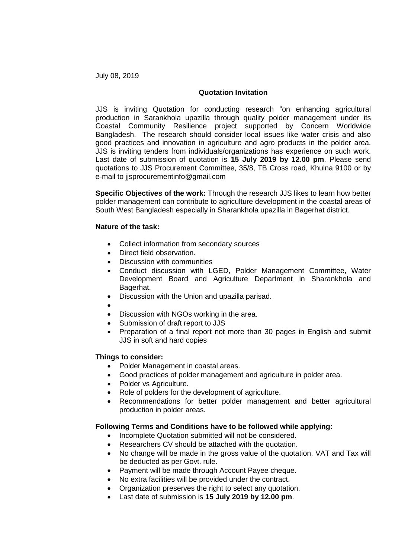July 08, 2019

# **Quotation Invitation**

JJS is inviting Quotation for conducting research "on enhancing agricultural production in Sarankhola upazilla through quality polder management under its Coastal Community Resilience project supported by Concern Worldwide Bangladesh. The research should consider local issues like water crisis and also good practices and innovation in agriculture and agro products in the polder area. JJS is inviting tenders from individuals/organizations has experience on such work. Last date of submission of quotation is **15 July 2019 by 12.00 pm**. Please send quotations to JJS Procurement Committee, 35/8, TB Cross road, Khulna 9100 or by e-mail to [jjsprocurementinfo@gmail.com](mailto:jjsprocurementinfo@gmail.com)

**Specific Objectives of the work:** Through the research JJS likes to learn how better polder management can contribute to agriculture development in the coastal areas of South West Bangladesh especially in Sharankhola upazilla in Bagerhat district.

## **Nature of the task:**

- Collect information from secondary sources
- Direct field observation.
- Discussion with communities
- Conduct discussion with LGED, Polder Management Committee, Water Development Board and Agriculture Department in Sharankhola and Bagerhat.
- Discussion with the Union and upazilla parisad.
- $\bullet$
- Discussion with NGOs working in the area.
- Submission of draft report to JJS
- Preparation of a final report not more than 30 pages in English and submit JJS in soft and hard copies

#### **Things to consider:**

- Polder Management in coastal areas.
- Good practices of polder management and agriculture in polder area.
- Polder vs Agriculture.
- Role of polders for the development of agriculture.
- Recommendations for better polder management and better agricultural production in polder areas.

## **Following Terms and Conditions have to be followed while applying:**

- Incomplete Quotation submitted will not be considered.
- Researchers CV should be attached with the quotation.
- No change will be made in the gross value of the quotation. VAT and Tax will be deducted as per Govt. rule.
- Payment will be made through Account Payee cheque.
- No extra facilities will be provided under the contract.
- Organization preserves the right to select any quotation.
- Last date of submission is **15 July 2019 by 12.00 pm**.